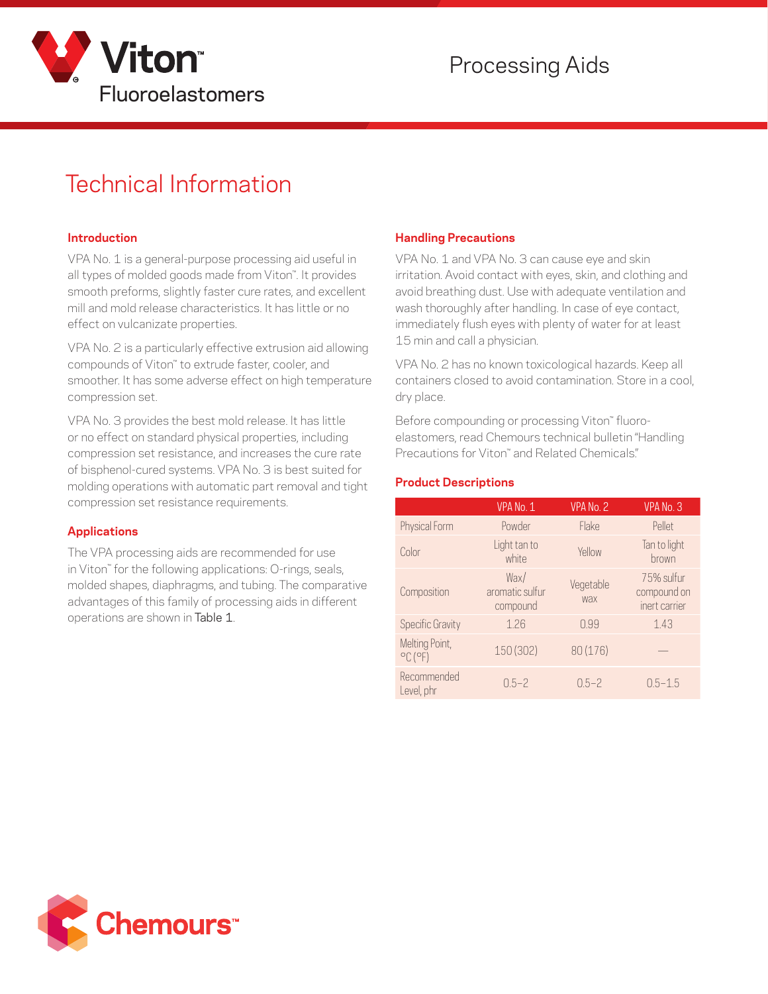

# Technical Information

#### **Introduction**

VPA No. 1 is a general-purpose processing aid useful in all types of molded goods made from Viton™. It provides smooth preforms, slightly faster cure rates, and excellent mill and mold release characteristics. It has little or no effect on vulcanizate properties.

VPA No. 2 is a particularly effective extrusion aid allowing compounds of Viton™ to extrude faster, cooler, and smoother. It has some adverse effect on high temperature compression set.

VPA No. 3 provides the best mold release. lt has little or no effect on standard physical properties, including compression set resistance, and increases the cure rate of bisphenol-cured systems. VPA No. 3 is best suited for molding operations with automatic part removal and tight compression set resistance requirements.

#### **Applications**

The VPA processing aids are recommended for use in Viton™ for the following applications: O-rings, seals, molded shapes, diaphragms, and tubing. The comparative advantages of this family of processing aids in different operations are shown in Table 1.

#### **Handling Precautions**

VPA No. 1 and VPA No. 3 can cause eye and skin irritation. Avoid contact with eyes, skin, and clothing and avoid breathing dust. Use with adequate ventilation and wash thoroughly after handling. In case of eye contact, immediately flush eyes with plenty of water for at least 15 min and call a physician.

VPA No. 2 has no known toxicological hazards. Keep all containers closed to avoid contamination. Store in a cool, dry place.

Before compounding or processing Viton™ fluoroelastomers, read Chemours technical bulletin "Handling Precautions for Viton™ and Related Chemicals."

#### **Product Descriptions**

|                                                | VPA No. 1                           | VPA No. 2        | VPA No. 3                                  |  |
|------------------------------------------------|-------------------------------------|------------------|--------------------------------------------|--|
| Physical Form                                  | Powder                              | <b>Flake</b>     | Pellet                                     |  |
| Color                                          | Light tan to<br>white               | Yellow           | Tan to light<br>brown                      |  |
| Composition                                    | Wax/<br>aromatic sulfur<br>compound | Vegetable<br>wax | 75% sulfur<br>compound on<br>inert carrier |  |
| <b>Specific Gravity</b>                        | 1.26                                | 0.99             | 1.43                                       |  |
| Melting Point,<br>$^{\circ}$ C ( $^{\circ}$ F) | 150 (302)                           | 80 (176)         |                                            |  |
| Recommended<br>Level, phr                      | $0.5 - 2$                           | $0.5 - 2$        | $0.5 - 1.5$                                |  |

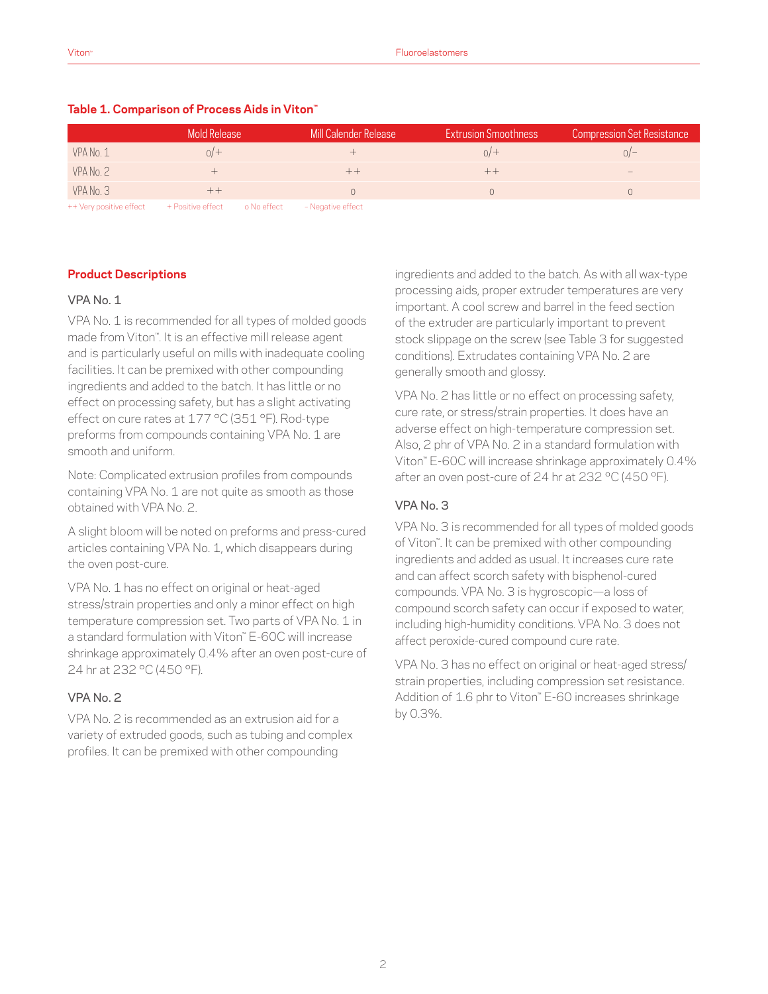|                         | Mold Release                  | Mill Calender Release | <b>Extrusion Smoothness</b> | <b>Compression Set Resistance</b> |
|-------------------------|-------------------------------|-----------------------|-----------------------------|-----------------------------------|
| VPA No. 1               | 0/                            |                       | 0/                          | $\Omega$ –                        |
| VPA No. 2               |                               |                       |                             | $\overline{\phantom{a}}$          |
| VPA No. 3               |                               |                       |                             |                                   |
| ++ Very positive effect | + Positive effect o No effect | - Negative effect     |                             |                                   |

#### **Table 1. Comparison of Process Aids in Viton™**

**Product Descriptions**

#### VPA No. 1

VPA No. 1 is recommended for all types of molded goods made from Viton™. It is an effective mill release agent and is particularly useful on mills with inadequate cooling facilities. It can be premixed with other compounding ingredients and added to the batch. It has little or no effect on processing safety, but has a slight activating effect on cure rates at 177 °C (351 °F). Rod-type preforms from compounds containing VPA No. 1 are smooth and uniform.

Note: Complicated extrusion profiles from compounds containing VPA No. 1 are not quite as smooth as those obtained with VPA No. 2.

A slight bloom will be noted on preforms and press-cured articles containing VPA No. 1, which disappears during the oven post-cure.

VPA No. 1 has no effect on original or heat-aged stress/strain properties and only a minor effect on high temperature compression set. Two parts of VPA No. 1 in a standard formulation with Viton™ E-60C will increase shrinkage approximately 0.4% after an oven post-cure of 24 hr at 232 °C (450 °F).

### VPA No. 2

VPA No. 2 is recommended as an extrusion aid for a variety of extruded goods, such as tubing and complex profiles. It can be premixed with other compounding

ingredients and added to the batch. As with all wax-type processing aids, proper extruder temperatures are very important. A cool screw and barrel in the feed section of the extruder are particularly important to prevent stock slippage on the screw (see Table 3 for suggested conditions). Extrudates containing VPA No. 2 are generally smooth and glossy.

VPA No. 2 has little or no effect on processing safety, cure rate, or stress/strain properties. It does have an adverse effect on high-temperature compression set. Also, 2 phr of VPA No. 2 in a standard formulation with Viton™ E-60C will increase shrinkage approximately 0.4% after an oven post-cure of 24 hr at 232 °C (450 °F).

#### VPA No. 3

VPA No. 3 is recommended for all types of molded goods of Viton™. It can be premixed with other compounding ingredients and added as usual. It increases cure rate and can affect scorch safety with bisphenol-cured compounds. VPA No. 3 is hygroscopic—a loss of compound scorch safety can occur if exposed to water, including high-humidity conditions. VPA No. 3 does not affect peroxide-cured compound cure rate.

VPA No. 3 has no effect on original or heat-aged stress/ strain properties, including compression set resistance. Addition of 1.6 phr to Viton™ E-60 increases shrinkage by 0.3%.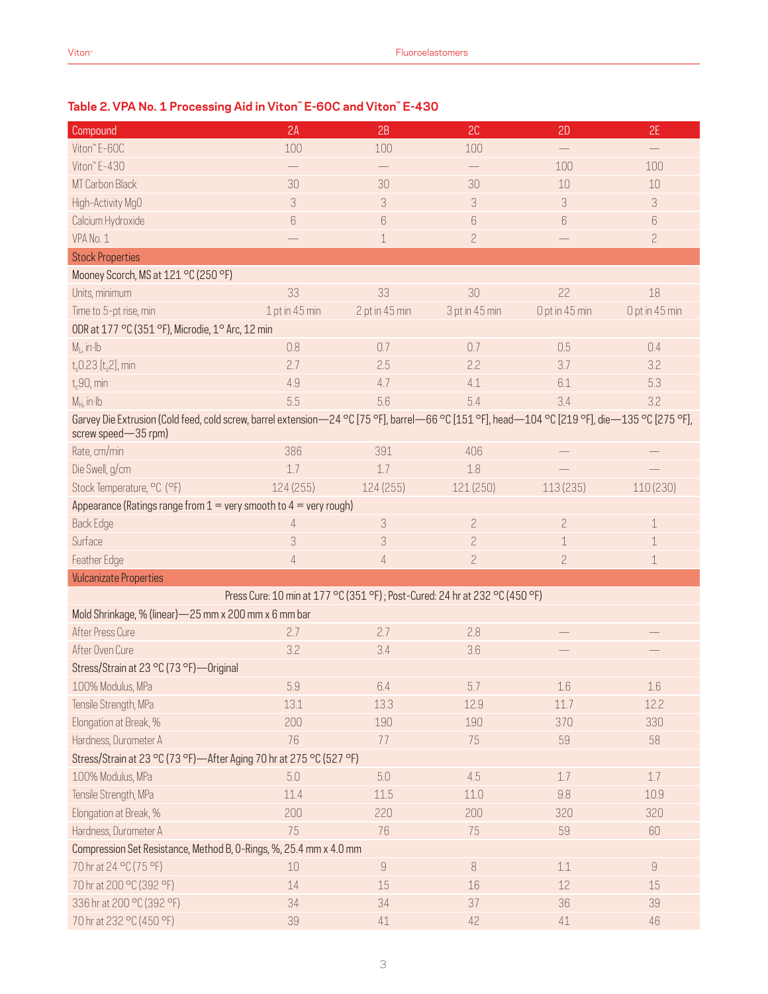## **Table 2. VPA No. 1 Processing Aid in Viton™ E-60C and Viton™ E-430**

| Compound                                                                                                                                                              | 2A             | 2B                              | 2C             | 2D             | 2E             |  |  |
|-----------------------------------------------------------------------------------------------------------------------------------------------------------------------|----------------|---------------------------------|----------------|----------------|----------------|--|--|
| Viton" E-60C                                                                                                                                                          | 100            | 100                             | 100            |                |                |  |  |
| Viton" E-430                                                                                                                                                          |                |                                 |                | 100            | 100            |  |  |
| MT Carbon Black                                                                                                                                                       | 30             | 30                              | 30             | 10             | 10             |  |  |
| High-Activity MgO                                                                                                                                                     | 3              | 3                               | 3              | 3              | 3              |  |  |
| Calcium Hydroxide                                                                                                                                                     | 6              | $\begin{matrix} 6 \end{matrix}$ | $6\,$          | 6              | 6              |  |  |
| VPA No. 1                                                                                                                                                             |                | $\mathbf 1$                     | $\overline{c}$ |                | $\overline{c}$ |  |  |
| <b>Stock Properties</b>                                                                                                                                               |                |                                 |                |                |                |  |  |
| Mooney Scorch, MS at 121 °C (250 °F)                                                                                                                                  |                |                                 |                |                |                |  |  |
| Units, minimum                                                                                                                                                        | 33             | 33                              | 30             | 22             | 18             |  |  |
| Time to 5-pt rise, min                                                                                                                                                | 1 pt in 45 min | 2 pt in 45 min                  | 3 pt in 45 min | 0 pt in 45 min | 0 pt in 45 min |  |  |
| ODR at 177 °C (351 °F), Microdie, 1° Arc, 12 min                                                                                                                      |                |                                 |                |                |                |  |  |
| $M1$ , in Ib                                                                                                                                                          | 0.8            | 0.7                             | 0.7            | 0.5            | 0.4            |  |  |
| $t_s$ 0.23 [ $t_s$ 2], min                                                                                                                                            | 2.7            | 2.5                             | 2.2            | 3.7            | 3.2            |  |  |
| $t_c$ 90, min                                                                                                                                                         | 4.9            | 4.7                             | 4.1            | 6.1            | 5.3            |  |  |
| $M_H$ , in $Ib$                                                                                                                                                       | 5.5            | 5.6                             | 5.4            | 3.4            | 3.2            |  |  |
| Garvey Die Extrusion (Cold feed, cold screw, barrel extension-24 °C [75 °F], barrel-66 °C [151 °F], head-104 °C [219 °F], die-135 °C [275 °F],<br>screw speed-35 rpm) |                |                                 |                |                |                |  |  |
| Rate, cm/min                                                                                                                                                          | 386            | 391                             | 406            |                |                |  |  |
| Die Swell, g/cm                                                                                                                                                       | 1.7            | 1.7                             | 1.8            |                |                |  |  |
| Stock Temperature, °C (°F)                                                                                                                                            | 124 (255)      | 124 (255)                       | 121 (250)      | 113 (235)      | 110 (230)      |  |  |
| Appearance (Ratings range from $1 =$ very smooth to $4 =$ very rough)                                                                                                 |                |                                 |                |                |                |  |  |
| <b>Back Edge</b>                                                                                                                                                      | $\overline{4}$ | 3                               | $\overline{c}$ | $\overline{c}$ | $\mathbf 1$    |  |  |
| Surface                                                                                                                                                               | 3              | 3                               | $\overline{c}$ | 1              | 1              |  |  |
| Feather Edge                                                                                                                                                          | 4              | $\overline{4}$                  | $\overline{c}$ | $\overline{c}$ | $\mathbf 1$    |  |  |
| <b>Vulcanizate Properties</b>                                                                                                                                         |                |                                 |                |                |                |  |  |
| Press Cure: 10 min at 177 °C (351 °F); Post-Cured: 24 hr at 232 °C (450 °F)                                                                                           |                |                                 |                |                |                |  |  |
| Mold Shrinkage, % (linear)-25 mm x 200 mm x 6 mm bar                                                                                                                  |                |                                 |                |                |                |  |  |
| After Press Cure                                                                                                                                                      | 2.7            | 2.7                             | 2.8            |                |                |  |  |
| After Oven Cure                                                                                                                                                       | 3.2            | 3.4                             | 3.6            |                |                |  |  |
| Stress/Strain at 23 °C (73 °F)-Original                                                                                                                               |                |                                 |                |                |                |  |  |
| 100% Modulus, MPa                                                                                                                                                     | 5.9            | 6.4                             | 5.7            | 1.6            | 1.6            |  |  |
| Tensile Strength, MPa                                                                                                                                                 | 13.1           | 13.3                            | 12.9           | 11.7           | 12.2           |  |  |
| Elongation at Break, %                                                                                                                                                | 200            | 190                             | 190            | 370            | 330            |  |  |
| Hardness, Durometer A                                                                                                                                                 | 76             | 77                              | 75             | 59             | 58             |  |  |
| Stress/Strain at 23 °C (73 °F)-After Aging 70 hr at 275 °C (527 °F)                                                                                                   |                |                                 |                |                |                |  |  |
| 100% Modulus, MPa                                                                                                                                                     | 5.0            | 5.0                             | 4.5            | 1.7            | $1.7\,$        |  |  |
| Tensile Strength, MPa                                                                                                                                                 | 11.4           | 11.5                            | 11.0           | 9.8            | 10.9           |  |  |
| Elongation at Break, %                                                                                                                                                | 200            | 220                             | 200            | 320            | 320            |  |  |
| Hardness, Durometer A                                                                                                                                                 | 75             | 76                              | 75             | 59             | 60             |  |  |
| Compression Set Resistance, Method B, O-Rings, %, 25.4 mm x 4.0 mm                                                                                                    |                |                                 |                |                |                |  |  |
| 70 hr at 24 °C (75 °F)                                                                                                                                                | 10             | $\hbox{g}$                      | 8              | $1.1\,$        | $\hbox{g}$     |  |  |
| 70 hr at 200 °C (392 °F)                                                                                                                                              | 14             | 15                              | 16             | 12             | 15             |  |  |
| 336 hr at 200 °C (392 °F)                                                                                                                                             | 34             | 34                              | 37             | 36             | 39             |  |  |
| 70 hr at 232 °C (450 °F)                                                                                                                                              | 39             | 41                              | 42             | $41\,$         | 46             |  |  |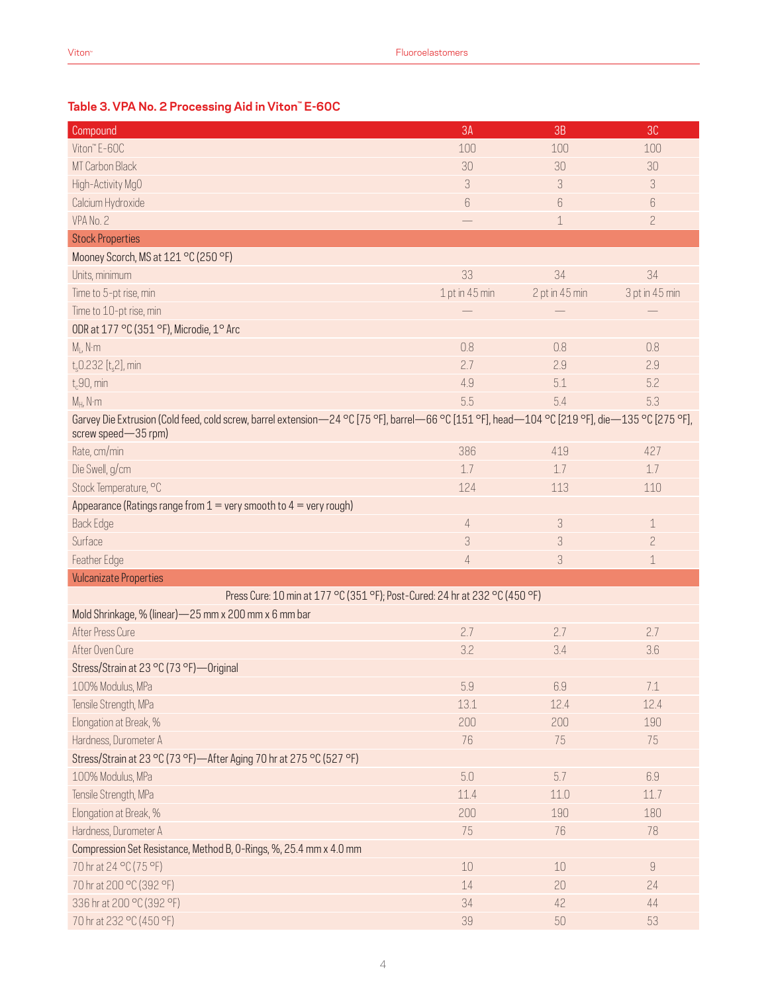## **Table 3. VPA No. 2 Processing Aid in Viton™ E-60C**

| Compound                                                                                                                                                              | 3A             | 3B             | 3C             |
|-----------------------------------------------------------------------------------------------------------------------------------------------------------------------|----------------|----------------|----------------|
| Viton" E-60C                                                                                                                                                          | 100            | 100            | 100            |
| MT Carbon Black                                                                                                                                                       | 30             | 30             | 30             |
| High-Activity MgO                                                                                                                                                     | 3              | 3              | 3              |
| Calcium Hydroxide                                                                                                                                                     | 6              | 6              | 6              |
| VPA No. 2                                                                                                                                                             |                | $\mathbf 1$    | $\overline{c}$ |
| <b>Stock Properties</b>                                                                                                                                               |                |                |                |
| Mooney Scorch, MS at 121 °C (250 °F)                                                                                                                                  |                |                |                |
| Units, minimum                                                                                                                                                        | 33             | 34             | 34             |
| Time to 5-pt rise, min                                                                                                                                                | 1 pt in 45 min | 2 pt in 45 min | 3 pt in 45 min |
| Time to 10-pt rise, min                                                                                                                                               |                |                |                |
| ODR at 177 °C (351 °F), Microdie, 1° Arc                                                                                                                              |                |                |                |
| $M_1$ , N·m                                                                                                                                                           | 0.8            | 0.8            | 0.8            |
| $t_s$ 0.232 [ $t_s$ 2], min                                                                                                                                           | 2.7            | 2.9            | 2.9            |
| $t_c$ 90, min                                                                                                                                                         | 4.9            | 5.1            | 5.2            |
| $M_H$ , N·m                                                                                                                                                           | 5.5            | 5.4            | 5.3            |
| Garvey Die Extrusion (Cold feed, cold screw, barrel extension-24 °C [75 °F], barrel-66 °C [151 °F], head-104 °C [219 °F], die-135 °C [275 °F],<br>screw speed-35 rpm) |                |                |                |
| Rate, cm/min                                                                                                                                                          | 386            | 419            | 427            |
| Die Swell, g/cm                                                                                                                                                       | 1.7            | 1.7            | 1.7            |
| Stock Temperature, °C                                                                                                                                                 | 124            | 113            | 110            |
| Appearance (Ratings range from $1 =$ very smooth to $4 =$ very rough)                                                                                                 |                |                |                |
| <b>Back Edge</b>                                                                                                                                                      | 4              | 3              | 1              |
| Surface                                                                                                                                                               | 3              | 3              | $\overline{c}$ |
| Feather Edge                                                                                                                                                          | $\overline{4}$ | 3              | 1              |
| <b>Vulcanizate Properties</b>                                                                                                                                         |                |                |                |
| Press Cure: 10 min at 177 °C (351 °F); Post-Cured: 24 hr at 232 °C (450 °F)                                                                                           |                |                |                |
| Mold Shrinkage, % (linear) - 25 mm x 200 mm x 6 mm bar                                                                                                                |                |                |                |
| After Press Cure                                                                                                                                                      | 2.7            | 2.7            | 2.7            |
| After Oven Cure                                                                                                                                                       | 3.2            | 3.4            | 3.6            |
| Stress/Strain at 23 °C (73 °F)-Original                                                                                                                               |                |                |                |
| 100% Modulus, MPa                                                                                                                                                     | $5.9\,$        | 6.9            | $7.1\,$        |
| Tensile Strength, MPa                                                                                                                                                 | 13.1           | 12.4           | 12.4           |
| Elongation at Break, %                                                                                                                                                | 200            | 200            | 190            |
| Hardness, Durometer A                                                                                                                                                 | 76             | 75             | 75             |
| Stress/Strain at 23 °C (73 °F)—After Aging 70 hr at 275 °C (527 °F)                                                                                                   |                |                |                |
| 100% Modulus, MPa                                                                                                                                                     | 5.0            | 5.7            | 6.9            |
| Tensile Strength, MPa                                                                                                                                                 | 11.4           | 11.0           | 11.7           |
| Elongation at Break, %                                                                                                                                                | 200            | 190            | 180            |
| Hardness, Durometer A                                                                                                                                                 | 75             | 76             | 78             |
| Compression Set Resistance, Method B, O-Rings, %, 25.4 mm x 4.0 mm                                                                                                    |                |                |                |
| 70 hr at 24 °C (75 °F)                                                                                                                                                | $10\,$         | 10             | $\hbox{9}$     |
| 70 hr at 200 °C (392 °F)                                                                                                                                              | 14             | 20             | 24             |
| 336 hr at 200 °C (392 °F)                                                                                                                                             | 34             | 42             | 44             |
| 70 hr at 232 °C (450 °F)                                                                                                                                              | 39             | 50             | 53             |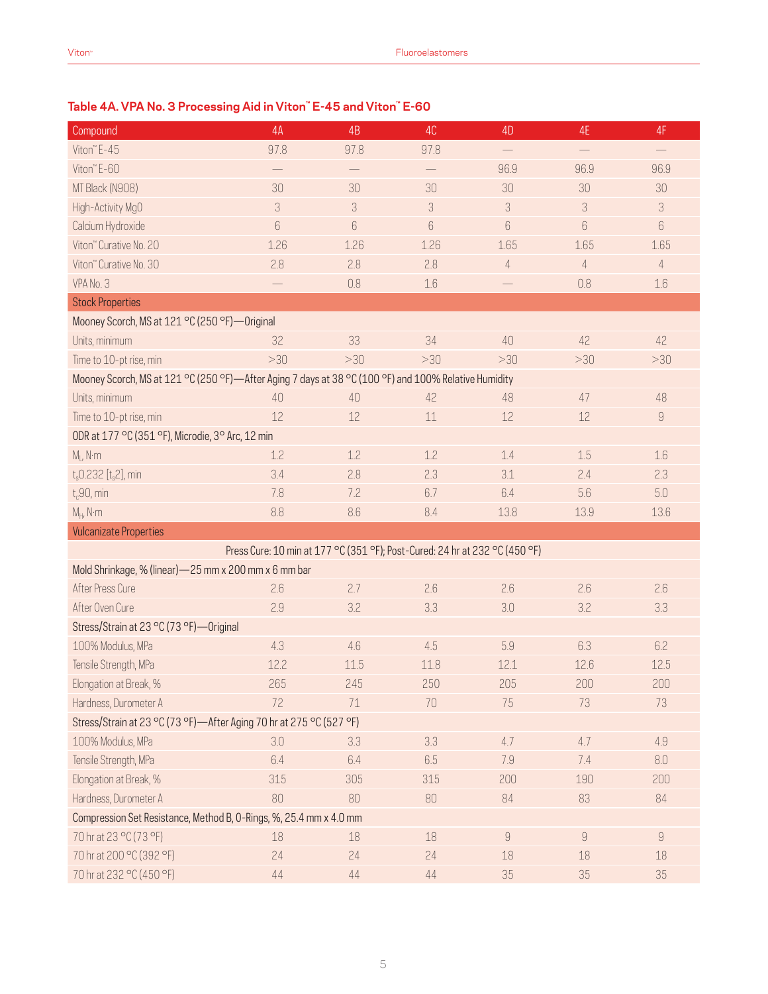## **Table 4A. VPA No. 3 Processing Aid in Viton™ E-45 and Viton™ E-60**

| Compound                                                                                             | 4A   | 4B                                                                          | 4C   | 4D                | 4E                       | 4F                |
|------------------------------------------------------------------------------------------------------|------|-----------------------------------------------------------------------------|------|-------------------|--------------------------|-------------------|
| Viton" E-45                                                                                          | 97.8 | 97.8                                                                        | 97.8 | $\qquad \qquad -$ | $\overline{\phantom{m}}$ | $\qquad \qquad -$ |
| Viton" E-60                                                                                          |      | $\qquad \qquad -$                                                           |      | 96.9              | 96.9                     | 96.9              |
| MT Black (N908)                                                                                      | 30   | 30                                                                          | 30   | 30                | 30                       | 30                |
| High-Activity MgO                                                                                    | 3    | 3                                                                           | 3    | 3                 | 3                        | 3                 |
| Calcium Hydroxide                                                                                    | 6    | 6                                                                           | 6    | 6                 | 6                        | 6                 |
| Viton" Curative No. 20                                                                               | 1.26 | 1.26                                                                        | 1.26 | 1.65              | 1.65                     | 1.65              |
| Viton" Curative No. 30                                                                               | 2.8  | 2.8                                                                         | 2.8  | $\sqrt{4}$        | $\overline{4}$           | $\sqrt{4}$        |
| VPA No. 3                                                                                            |      | 0.8                                                                         | 1.6  |                   | 0.8                      | 1.6               |
| <b>Stock Properties</b>                                                                              |      |                                                                             |      |                   |                          |                   |
| Mooney Scorch, MS at 121 °C (250 °F)-Original                                                        |      |                                                                             |      |                   |                          |                   |
| Units, minimum                                                                                       | 32   | 33                                                                          | 34   | 40                | 42                       | 42                |
| Time to 10-pt rise, min                                                                              | >30  | >30                                                                         | >30  | >30               | >30                      | >30               |
| Mooney Scorch, MS at 121 °C (250 °F)—After Aging 7 days at 38 °C (100 °F) and 100% Relative Humidity |      |                                                                             |      |                   |                          |                   |
| Units, minimum                                                                                       | 40   | 40                                                                          | 42   | 48                | 47                       | 48                |
| Time to 10-pt rise, min                                                                              | 12   | 12                                                                          | 11   | 12                | 12                       | $\hbox{9}$        |
| ODR at 177 °C (351 °F), Microdie, 3° Arc, 12 min                                                     |      |                                                                             |      |                   |                          |                   |
| $M_1$ , N·m                                                                                          | 1.2  | 1.2                                                                         | 1.2  | 1.4               | 1.5                      | 1.6               |
| $t_s$ 0.232 [ $t_s$ 2], min                                                                          | 3.4  | 2.8                                                                         | 2.3  | 3.1               | 2.4                      | 2.3               |
| $t_c$ 90, min                                                                                        | 7.8  | 7.2                                                                         | 6.7  | 6.4               | 5.6                      | 5.0               |
| $M_H$ , N·m                                                                                          | 8.8  | 8.6                                                                         | 8.4  | 13.8              | 13.9                     | 13.6              |
| <b>Vulcanizate Properties</b>                                                                        |      |                                                                             |      |                   |                          |                   |
|                                                                                                      |      | Press Cure: 10 min at 177 °C (351 °F); Post-Cured: 24 hr at 232 °C (450 °F) |      |                   |                          |                   |
| Mold Shrinkage, % (linear) - 25 mm x 200 mm x 6 mm bar                                               |      |                                                                             |      |                   |                          |                   |
| After Press Cure                                                                                     | 2.6  | 2.7                                                                         | 2.6  | 2.6               | 2.6                      | 2.6               |
| After Oven Cure                                                                                      | 2.9  | 3.2                                                                         | 3.3  | 3.0               | 3.2                      | 3.3               |
| Stress/Strain at 23 °C (73 °F)-Original                                                              |      |                                                                             |      |                   |                          |                   |
| 100% Modulus, MPa                                                                                    | 4.3  | 4.6                                                                         | 4.5  | 5.9               | 6.3                      | 6.2               |
| Tensile Strength, MPa                                                                                | 12.2 | 11.5                                                                        | 11.8 | 12.1              | 12.6                     | 12.5              |
| Elongation at Break, %                                                                               | 265  | 245                                                                         | 250  | 205               | 200                      | 200               |
| Hardness, Durometer A                                                                                | 72   | 71                                                                          | 70   | 75                | 73                       | 73                |
| Stress/Strain at 23 °C (73 °F)-After Aging 70 hr at 275 °C (527 °F)                                  |      |                                                                             |      |                   |                          |                   |
| 100% Modulus, MPa                                                                                    | 3.0  | 3.3                                                                         | 3.3  | 4.7               | 4.7                      | 4.9               |
| Tensile Strength, MPa                                                                                | 6.4  | 6.4                                                                         | 6.5  | 7.9               | 7.4                      | 8.0               |
| Elongation at Break, %                                                                               | 315  | 305                                                                         | 315  | 200               | 190                      | 200               |
| Hardness, Durometer A                                                                                | 80   | 80                                                                          | 80   | 84                | 83                       | 84                |
| Compression Set Resistance, Method B, O-Rings, %, 25.4 mm x 4.0 mm                                   |      |                                                                             |      |                   |                          |                   |
| 70 hr at 23 °C (73 °F)                                                                               | 18   | 18                                                                          | 18   | $\hbox{9}$        | $\hbox{g}$               | $\hbox{g}$        |
| 70 hr at 200 °C (392 °F)                                                                             | 24   | 24                                                                          | 24   | 18                | 18                       | 18                |
| 70 hr at 232 °C (450 °F)                                                                             | 44   | $44$                                                                        | $44$ | 35                | 35                       | 35                |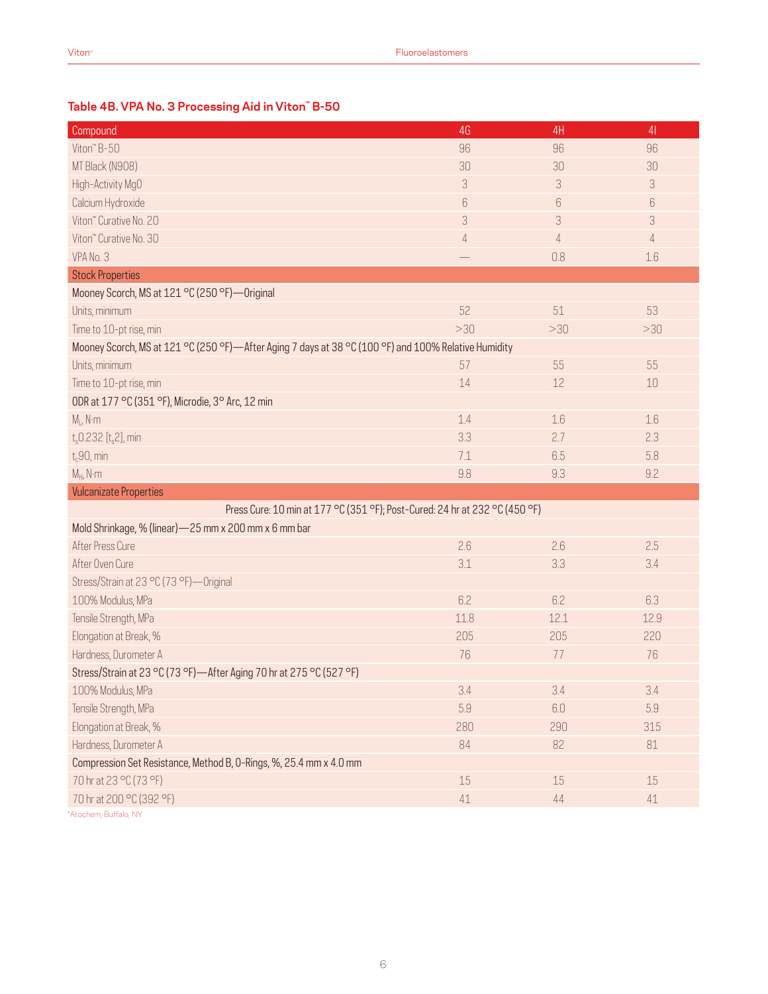## **Table 4B. VPA No. 3 Processing Aid in Viton™ B-50**

| Compound                                                                                             | 4G             | 4H   | 4 <sub>1</sub> |
|------------------------------------------------------------------------------------------------------|----------------|------|----------------|
| Viton" B-50                                                                                          | 96             | 96   | 96             |
| MT Black (N908)                                                                                      | 30             | 30   | 30             |
| High-Activity MgO                                                                                    | 3              | 3    | 3              |
| Calcium Hydroxide                                                                                    | 6              | 6    | $6\,$          |
| Viton" Curative No. 20                                                                               | 3              | 3    | 3              |
| Viton" Curative No. 30                                                                               | $\overline{4}$ | 4    | $\overline{4}$ |
| VPA No. 3                                                                                            |                | 0.8  | 1.6            |
| <b>Stock Properties</b>                                                                              |                |      |                |
| Mooney Scorch, MS at 121 °C (250 °F)-Original                                                        |                |      |                |
| Units, minimum                                                                                       | 52             | 51   | 53             |
| Time to 10-pt rise, min                                                                              | >30            | >30  | >30            |
| Mooney Scorch, MS at 121 °C (250 °F)—After Aging 7 days at 38 °C (100 °F) and 100% Relative Humidity |                |      |                |
| Units, minimum                                                                                       | 57             | 55   | 55             |
| Time to 10-pt rise, min                                                                              | 14             | 12   | $10$           |
| ODR at 177 °C (351 °F), Microdie, 3° Arc, 12 min                                                     |                |      |                |
| $M_1$ , N·m                                                                                          | 1.4            | 1.6  | 1.6            |
| $t_s$ 0.232 [ $t_s$ 2], min                                                                          | 3.3            | 2.7  | 2.3            |
| $t_c$ 90, min                                                                                        | 7.1            | 6.5  | 5.8            |
| $M_H$ , N·m                                                                                          | 9.8            | 9.3  | 9.2            |
| <b>Vulcanizate Properties</b>                                                                        |                |      |                |
| Press Cure: 10 min at 177 °C (351 °F); Post-Cured: 24 hr at 232 °C (450 °F)                          |                |      |                |
| Mold Shrinkage, % (linear) - 25 mm x 200 mm x 6 mm bar                                               |                |      |                |
| After Press Cure                                                                                     | 2.6            | 2.6  | 2.5            |
| After Oven Cure                                                                                      | 3.1            | 3.3  | 3.4            |
| Stress/Strain at 23 °C (73 °F)-Original                                                              |                |      |                |
| 100% Modulus, MPa                                                                                    | 6.2            | 6.2  | 6.3            |
| Tensile Strength, MPa                                                                                | 11.8           | 12.1 | 12.9           |
| Elongation at Break, %                                                                               | 205            | 205  | 220            |
| Hardness, Durometer A                                                                                | 76             | 77   | 76             |
| Stress/Strain at 23 °C (73 °F)-After Aging 70 hr at 275 °C (527 °F)                                  |                |      |                |
| 100% Modulus, MPa                                                                                    | 3.4            | 3.4  | 3.4            |
| Tensile Strength, MPa                                                                                | 5.9            | 6.0  | 5.9            |
| Elongation at Break, %                                                                               | 280            | 290  | 315            |
| Hardness, Durometer A                                                                                | 84             | 82   | 81             |
| Compression Set Resistance, Method B, O-Rings, %, 25.4 mm x 4.0 mm                                   |                |      |                |
| 70 hr at 23 °C (73 °F)                                                                               | $15\,$         | 15   | 15             |
| 70 hr at 200 °C (392 °F)                                                                             | $41\,$         | 44   | $41\,$         |
|                                                                                                      |                |      |                |

\*Atochem, Buffalo, NY